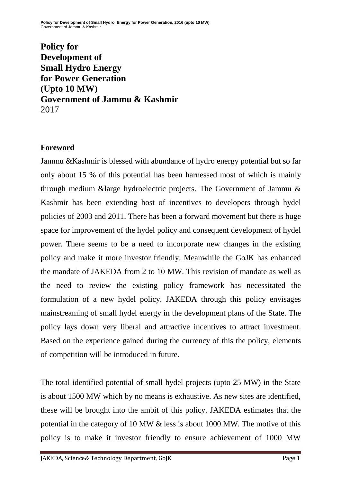**Policy for Development of Small Hydro Energy for Power Generation (Upto 10 MW) Government of Jammu & Kashmir** 2017

## **Foreword**

Jammu &Kashmir is blessed with abundance of hydro energy potential but so far only about 15 % of this potential has been harnessed most of which is mainly through medium &large hydroelectric projects. The Government of Jammu & Kashmir has been extending host of incentives to developers through hydel policies of 2003 and 2011. There has been a forward movement but there is huge space for improvement of the hydel policy and consequent development of hydel power. There seems to be a need to incorporate new changes in the existing policy and make it more investor friendly. Meanwhile the GoJK has enhanced the mandate of JAKEDA from 2 to 10 MW. This revision of mandate as well as the need to review the existing policy framework has necessitated the formulation of a new hydel policy. JAKEDA through this policy envisages mainstreaming of small hydel energy in the development plans of the State. The policy lays down very liberal and attractive incentives to attract investment. Based on the experience gained during the currency of this the policy, elements of competition will be introduced in future.

The total identified potential of small hydel projects (upto 25 MW) in the State is about 1500 MW which by no means is exhaustive. As new sites are identified, these will be brought into the ambit of this policy. JAKEDA estimates that the potential in the category of 10 MW & less is about 1000 MW. The motive of this policy is to make it investor friendly to ensure achievement of 1000 MW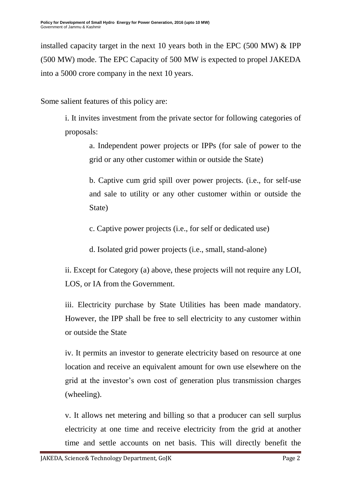installed capacity target in the next 10 years both in the EPC (500 MW) & IPP (500 MW) mode. The EPC Capacity of 500 MW is expected to propel JAKEDA into a 5000 crore company in the next 10 years.

Some salient features of this policy are:

i. It invites investment from the private sector for following categories of proposals:

a. Independent power projects or IPPs (for sale of power to the grid or any other customer within or outside the State)

b. Captive cum grid spill over power projects. (i.e., for self-use and sale to utility or any other customer within or outside the State)

c. Captive power projects (i.e., for self or dedicated use)

d. Isolated grid power projects (i.e., small, stand-alone)

ii. Except for Category (a) above, these projects will not require any LOI, LOS, or IA from the Government.

iii. Electricity purchase by State Utilities has been made mandatory. However, the IPP shall be free to sell electricity to any customer within or outside the State

iv. It permits an investor to generate electricity based on resource at one location and receive an equivalent amount for own use elsewhere on the grid at the investor's own cost of generation plus transmission charges (wheeling).

v. It allows net metering and billing so that a producer can sell surplus electricity at one time and receive electricity from the grid at another time and settle accounts on net basis. This will directly benefit the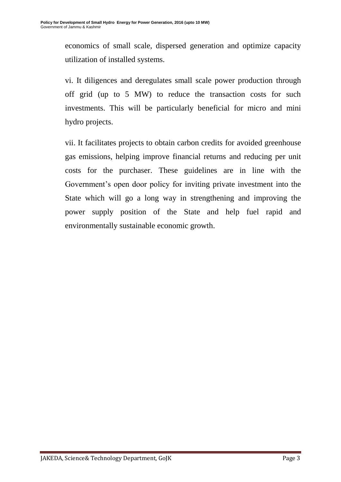economics of small scale, dispersed generation and optimize capacity utilization of installed systems.

vi. It diligences and deregulates small scale power production through off grid (up to 5 MW) to reduce the transaction costs for such investments. This will be particularly beneficial for micro and mini hydro projects.

vii. It facilitates projects to obtain carbon credits for avoided greenhouse gas emissions, helping improve financial returns and reducing per unit costs for the purchaser. These guidelines are in line with the Government's open door policy for inviting private investment into the State which will go a long way in strengthening and improving the power supply position of the State and help fuel rapid and environmentally sustainable economic growth.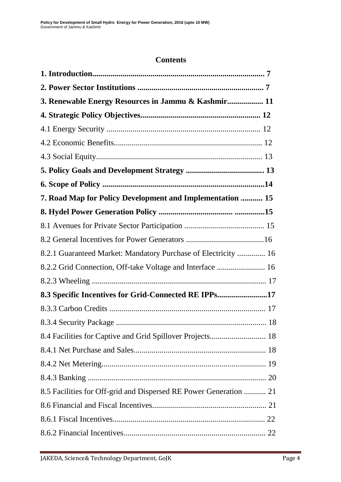### **Contents**

| 3. Renewable Energy Resources in Jammu & Kashmir 11               |  |
|-------------------------------------------------------------------|--|
|                                                                   |  |
|                                                                   |  |
|                                                                   |  |
|                                                                   |  |
|                                                                   |  |
|                                                                   |  |
| 7. Road Map for Policy Development and Implementation  15         |  |
|                                                                   |  |
|                                                                   |  |
|                                                                   |  |
| 8.2.1 Guaranteed Market: Mandatory Purchase of Electricity  16    |  |
| 8.2.2 Grid Connection, Off-take Voltage and Interface  16         |  |
|                                                                   |  |
| 8.3 Specific Incentives for Grid-Connected RE IPPs17              |  |
|                                                                   |  |
|                                                                   |  |
| 8.4 Facilities for Captive and Grid Spillover Projects 18         |  |
|                                                                   |  |
|                                                                   |  |
|                                                                   |  |
| 8.5 Facilities for Off-grid and Dispersed RE Power Generation  21 |  |
|                                                                   |  |
|                                                                   |  |
|                                                                   |  |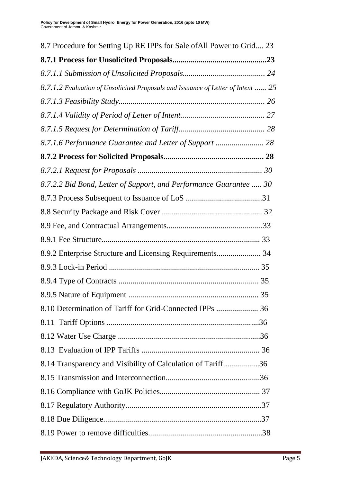| 8.7 Procedure for Setting Up RE IPPs for Sale of All Power to Grid 23            |
|----------------------------------------------------------------------------------|
|                                                                                  |
|                                                                                  |
| 8.7.1.2 Evaluation of Unsolicited Proposals and Issuance of Letter of Intent  25 |
|                                                                                  |
|                                                                                  |
|                                                                                  |
| 8.7.1.6 Performance Guarantee and Letter of Support  28                          |
|                                                                                  |
|                                                                                  |
| 8.7.2.2 Bid Bond, Letter of Support, and Performance Guarantee  30               |
|                                                                                  |
|                                                                                  |
|                                                                                  |
|                                                                                  |
| 8.9.2 Enterprise Structure and Licensing Requirements 34                         |
|                                                                                  |
|                                                                                  |
| 35                                                                               |
| 8.10 Determination of Tariff for Grid-Connected IPPs  36                         |
|                                                                                  |
|                                                                                  |
|                                                                                  |
| 8.14 Transparency and Visibility of Calculation of Tariff 36                     |
|                                                                                  |
|                                                                                  |
|                                                                                  |
|                                                                                  |
|                                                                                  |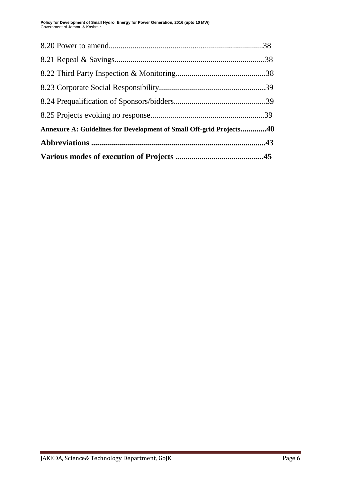| Annexure A: Guidelines for Development of Small Off-grid Projects40 |  |
|---------------------------------------------------------------------|--|
|                                                                     |  |
|                                                                     |  |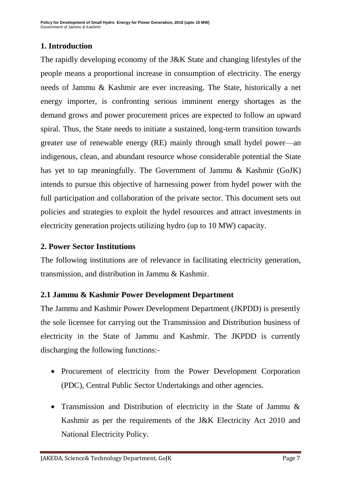**Policy for Development of Small Hydro Energy for Power Generation, 2016 (upto 10 MW)** Government of Jammu & Kashmir

## **1. Introduction**

The rapidly developing economy of the J&K State and changing lifestyles of the people means a proportional increase in consumption of electricity. The energy needs of Jammu & Kashmir are ever increasing. The State, historically a net energy importer, is confronting serious imminent energy shortages as the demand grows and power procurement prices are expected to follow an upward spiral. Thus, the State needs to initiate a sustained, long-term transition towards greater use of renewable energy (RE) mainly through small hydel power—an indigenous, clean, and abundant resource whose considerable potential the State has yet to tap meaningfully. The Government of Jammu & Kashmir (GoJK) intends to pursue this objective of harnessing power from hydel power with the full participation and collaboration of the private sector. This document sets out policies and strategies to exploit the hydel resources and attract investments in electricity generation projects utilizing hydro (up to 10 MW) capacity.

#### **2. Power Sector Institutions**

The following institutions are of relevance in facilitating electricity generation, transmission, and distribution in Jammu & Kashmir.

#### **2.1 Jammu & Kashmir Power Development Department**

The Jammu and Kashmir Power Development Department (JKPDD) is presently the sole licensee for carrying out the Transmission and Distribution business of electricity in the State of Jammu and Kashmir. The JKPDD is currently discharging the following functions:-

- Procurement of electricity from the Power Development Corporation (PDC), Central Public Sector Undertakings and other agencies.
- Transmission and Distribution of electricity in the State of Jammu & Kashmir as per the requirements of the J&K Electricity Act 2010 and National Electricity Policy.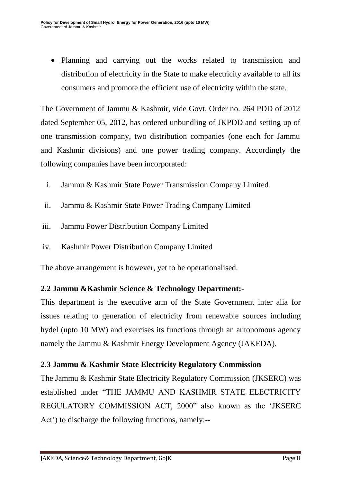• Planning and carrying out the works related to transmission and distribution of electricity in the State to make electricity available to all its consumers and promote the efficient use of electricity within the state.

The Government of Jammu & Kashmir, vide Govt. Order no. 264 PDD of 2012 dated September 05, 2012, has ordered unbundling of JKPDD and setting up of one transmission company, two distribution companies (one each for Jammu and Kashmir divisions) and one power trading company. Accordingly the following companies have been incorporated:

- i. Jammu & Kashmir State Power Transmission Company Limited
- ii. Jammu & Kashmir State Power Trading Company Limited
- iii. Jammu Power Distribution Company Limited
- iv. Kashmir Power Distribution Company Limited

The above arrangement is however, yet to be operationalised.

#### **2.2 Jammu &Kashmir Science & Technology Department:-**

This department is the executive arm of the State Government inter alia for issues relating to generation of electricity from renewable sources including hydel (upto 10 MW) and exercises its functions through an autonomous agency namely the Jammu & Kashmir Energy Development Agency (JAKEDA).

#### **2.3 Jammu & Kashmir State Electricity Regulatory Commission**

The Jammu & Kashmir State Electricity Regulatory Commission (JKSERC) was established under "THE JAMMU AND KASHMIR STATE ELECTRICITY REGULATORY COMMISSION ACT, 2000" also known as the 'JKSERC Act') to discharge the following functions, namely:--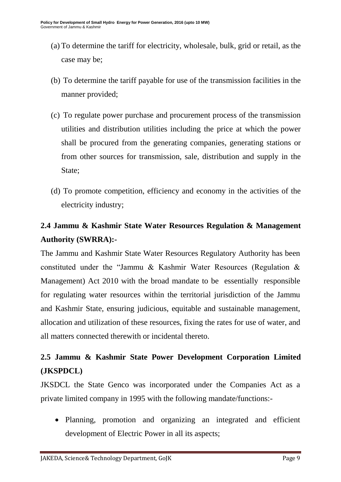- (a) To determine the tariff for electricity, wholesale, bulk, grid or retail, as the case may be;
- (b) To determine the tariff payable for use of the transmission facilities in the manner provided;
- (c) To regulate power purchase and procurement process of the transmission utilities and distribution utilities including the price at which the power shall be procured from the generating companies, generating stations or from other sources for transmission, sale, distribution and supply in the State;
- (d) To promote competition, efficiency and economy in the activities of the electricity industry;

## **2.4 Jammu & Kashmir State Water Resources Regulation & Management Authority (SWRRA):-**

The Jammu and Kashmir State Water Resources Regulatory Authority has been constituted under the "Jammu & Kashmir Water Resources (Regulation  $\&$ Management) Act 2010 with the broad mandate to be essentially responsible for regulating water resources within the territorial jurisdiction of the Jammu and Kashmir State, ensuring judicious, equitable and sustainable management, allocation and utilization of these resources, fixing the rates for use of water, and all matters connected therewith or incidental thereto.

## **2.5 Jammu & Kashmir State Power Development Corporation Limited (JKSPDCL)**

JKSDCL the State Genco was incorporated under the Companies Act as a private limited company in 1995 with the following mandate/functions:-

 Planning, promotion and organizing an integrated and efficient development of Electric Power in all its aspects;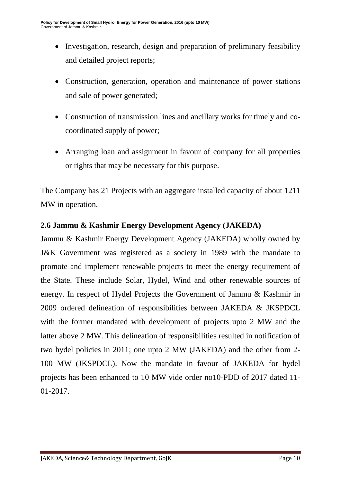- Investigation, research, design and preparation of preliminary feasibility and detailed project reports;
- Construction, generation, operation and maintenance of power stations and sale of power generated;
- Construction of transmission lines and ancillary works for timely and cocoordinated supply of power;
- Arranging loan and assignment in favour of company for all properties or rights that may be necessary for this purpose.

The Company has 21 Projects with an aggregate installed capacity of about 1211 MW in operation.

### **2.6 Jammu & Kashmir Energy Development Agency (JAKEDA)**

Jammu & Kashmir Energy Development Agency (JAKEDA) wholly owned by J&K Government was registered as a society in 1989 with the mandate to promote and implement renewable projects to meet the energy requirement of the State. These include Solar, Hydel, Wind and other renewable sources of energy. In respect of Hydel Projects the Government of Jammu & Kashmir in 2009 ordered delineation of responsibilities between JAKEDA & JKSPDCL with the former mandated with development of projects upto 2 MW and the latter above 2 MW. This delineation of responsibilities resulted in notification of two hydel policies in 2011; one upto 2 MW (JAKEDA) and the other from 2- 100 MW (JKSPDCL). Now the mandate in favour of JAKEDA for hydel projects has been enhanced to 10 MW vide order no10-PDD of 2017 dated 11- 01-2017.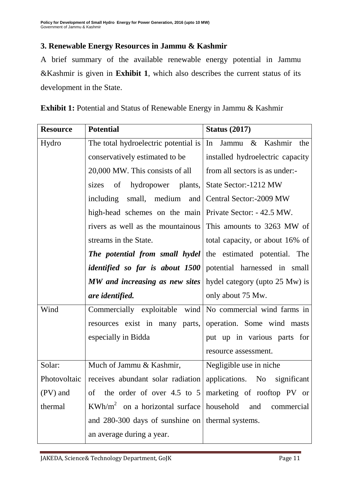## **3. Renewable Energy Resources in Jammu & Kashmir**

A brief summary of the available renewable energy potential in Jammu &Kashmir is given in **Exhibit 1**, which also describes the current status of its development in the State.

| <b>Resource</b> | <b>Potential</b>                                                            | <b>Status (2017)</b>                      |  |
|-----------------|-----------------------------------------------------------------------------|-------------------------------------------|--|
| Hydro           | The total hydroelectric potential is                                        | In<br>Jammu & Kashmir the                 |  |
|                 | conservatively estimated to be                                              | installed hydroelectric capacity          |  |
|                 | 20,000 MW. This consists of all                                             | from all sectors is as under:-            |  |
|                 | sizes<br>of                                                                 | hydropower plants, State Sector:-1212 MW  |  |
|                 | including                                                                   | small, medium and Central Sector:-2009 MW |  |
|                 | high-head schemes on the main Private Sector: - 42.5 MW.                    |                                           |  |
|                 | rivers as well as the mountainous This amounts to 3263 MW of                |                                           |  |
|                 | streams in the State.                                                       | total capacity, or about 16% of           |  |
|                 | <b>The potential from small hydel</b> the estimated potential. The          |                                           |  |
|                 | <i>identified so far is about 1500</i> potential harnessed in small         |                                           |  |
|                 | MW and increasing as new sites                                              | hydel category (upto 25 Mw) is            |  |
|                 | are identified.                                                             | only about 75 Mw.                         |  |
| Wind            | Commercially exploitable wind No commercial wind farms in                   |                                           |  |
|                 | resources exist in many parts, operation. Some wind masts                   |                                           |  |
|                 | especially in Bidda                                                         | put up in various parts for               |  |
|                 |                                                                             | resource assessment.                      |  |
| Solar:          | Much of Jammu & Kashmir,                                                    | Negligible use in niche                   |  |
|                 | Photovoltaic receives abundant solar radiation applications. No significant |                                           |  |
| (PV) and        | of the order of over 4.5 to $5 \mid$ marketing of rooftop PV or             |                                           |  |
| thermal         | $KWh/m^2$ on a horizontal surface   household                               | and<br>commercial                         |  |
|                 | and 280-300 days of sunshine on thermal systems.                            |                                           |  |
|                 | an average during a year.                                                   |                                           |  |

**Exhibit 1:** Potential and Status of Renewable Energy in Jammu & Kashmir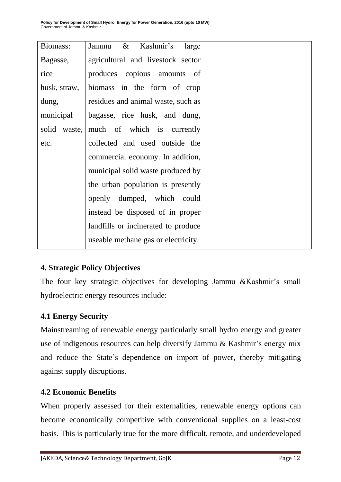| Biomass:        | $\&$<br>Kashmir's<br>Jammu<br>large |
|-----------------|-------------------------------------|
| Bagasse,        | agricultural and livestock sector   |
| rice            | produces copious amounts<br>of      |
| husk, straw,    | biomass in the form of crop         |
| dung,           | residues and animal waste, such as  |
| municipal       | bagasse, rice husk, and dung,       |
| solid<br>waste, | much of which is currently          |
| etc.            | collected and used outside the      |
|                 | commercial economy. In addition,    |
|                 | municipal solid waste produced by   |
|                 | the urban population is presently   |
|                 | openly dumped, which could          |
|                 | instead be disposed of in proper    |
|                 | landfills or incinerated to produce |
|                 | useable methane gas or electricity. |

## **4. Strategic Policy Objectives**

The four key strategic objectives for developing Jammu &Kashmir's small hydroelectric energy resources include:

## **4.1 Energy Security**

Mainstreaming of renewable energy particularly small hydro energy and greater use of indigenous resources can help diversify Jammu & Kashmir's energy mix and reduce the State's dependence on import of power, thereby mitigating against supply disruptions.

#### **4.2 Economic Benefits**

When properly assessed for their externalities, renewable energy options can become economically competitive with conventional supplies on a least-cost basis. This is particularly true for the more difficult, remote, and underdeveloped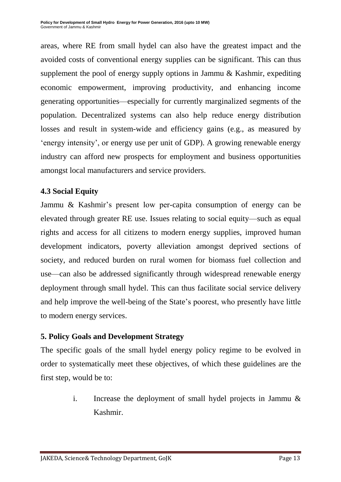areas, where RE from small hydel can also have the greatest impact and the avoided costs of conventional energy supplies can be significant. This can thus supplement the pool of energy supply options in Jammu & Kashmir, expediting economic empowerment, improving productivity, and enhancing income generating opportunities—especially for currently marginalized segments of the population. Decentralized systems can also help reduce energy distribution losses and result in system-wide and efficiency gains (e.g., as measured by ‗energy intensity', or energy use per unit of GDP). A growing renewable energy industry can afford new prospects for employment and business opportunities amongst local manufacturers and service providers.

## **4.3 Social Equity**

Jammu & Kashmir's present low per-capita consumption of energy can be elevated through greater RE use. Issues relating to social equity—such as equal rights and access for all citizens to modern energy supplies, improved human development indicators, poverty alleviation amongst deprived sections of society, and reduced burden on rural women for biomass fuel collection and use—can also be addressed significantly through widespread renewable energy deployment through small hydel. This can thus facilitate social service delivery and help improve the well-being of the State's poorest, who presently have little to modern energy services.

## **5. Policy Goals and Development Strategy**

The specific goals of the small hydel energy policy regime to be evolved in order to systematically meet these objectives, of which these guidelines are the first step, would be to:

> i. Increase the deployment of small hydel projects in Jammu & Kashmir.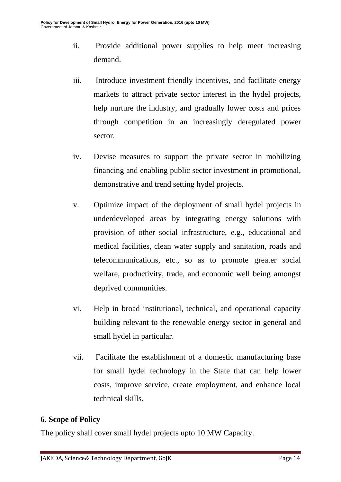- ii. Provide additional power supplies to help meet increasing demand.
- iii. Introduce investment-friendly incentives, and facilitate energy markets to attract private sector interest in the hydel projects, help nurture the industry, and gradually lower costs and prices through competition in an increasingly deregulated power sector.
- iv. Devise measures to support the private sector in mobilizing financing and enabling public sector investment in promotional, demonstrative and trend setting hydel projects.
- v. Optimize impact of the deployment of small hydel projects in underdeveloped areas by integrating energy solutions with provision of other social infrastructure, e.g., educational and medical facilities, clean water supply and sanitation, roads and telecommunications, etc., so as to promote greater social welfare, productivity, trade, and economic well being amongst deprived communities.
- vi. Help in broad institutional, technical, and operational capacity building relevant to the renewable energy sector in general and small hydel in particular.
- vii. Facilitate the establishment of a domestic manufacturing base for small hydel technology in the State that can help lower costs, improve service, create employment, and enhance local technical skills.

## **6. Scope of Policy**

The policy shall cover small hydel projects upto 10 MW Capacity.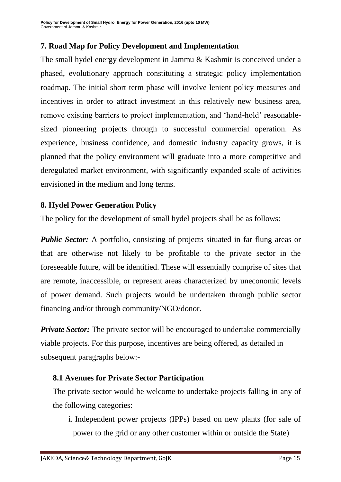## **7. Road Map for Policy Development and Implementation**

The small hydel energy development in Jammu & Kashmir is conceived under a phased, evolutionary approach constituting a strategic policy implementation roadmap. The initial short term phase will involve lenient policy measures and incentives in order to attract investment in this relatively new business area, remove existing barriers to project implementation, and 'hand-hold' reasonablesized pioneering projects through to successful commercial operation. As experience, business confidence, and domestic industry capacity grows, it is planned that the policy environment will graduate into a more competitive and deregulated market environment, with significantly expanded scale of activities envisioned in the medium and long terms.

#### **8. Hydel Power Generation Policy**

The policy for the development of small hydel projects shall be as follows:

*Public Sector:* A portfolio, consisting of projects situated in far flung areas or that are otherwise not likely to be profitable to the private sector in the foreseeable future, will be identified. These will essentially comprise of sites that are remote, inaccessible, or represent areas characterized by uneconomic levels of power demand. Such projects would be undertaken through public sector financing and/or through community/NGO/donor.

*Private Sector:* The private sector will be encouraged to undertake commercially viable projects. For this purpose, incentives are being offered, as detailed in subsequent paragraphs below:-

## **8.1 Avenues for Private Sector Participation**

The private sector would be welcome to undertake projects falling in any of the following categories:

i. Independent power projects (IPPs) based on new plants (for sale of power to the grid or any other customer within or outside the State)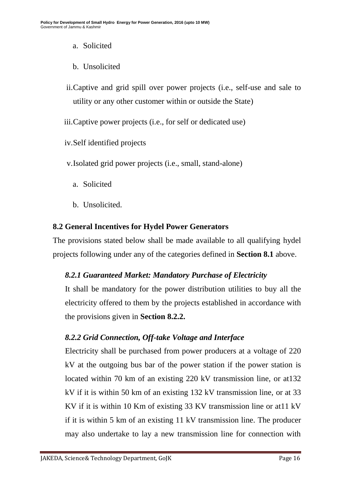- a. Solicited
- b. Unsolicited
- ii.Captive and grid spill over power projects (i.e., self-use and sale to utility or any other customer within or outside the State)

iii.Captive power projects (i.e., for self or dedicated use)

iv.Self identified projects

v.Isolated grid power projects (i.e., small, stand-alone)

- a. Solicited
- b. Unsolicited.

## **8.2 General Incentives for Hydel Power Generators**

The provisions stated below shall be made available to all qualifying hydel projects following under any of the categories defined in **Section 8.1** above.

## *8.2.1 Guaranteed Market: Mandatory Purchase of Electricity*

It shall be mandatory for the power distribution utilities to buy all the electricity offered to them by the projects established in accordance with the provisions given in **Section 8.2.2.**

## *8.2.2 Grid Connection, Off-take Voltage and Interface*

Electricity shall be purchased from power producers at a voltage of 220 kV at the outgoing bus bar of the power station if the power station is located within 70 km of an existing 220 kV transmission line, or at132 kV if it is within 50 km of an existing 132 kV transmission line, or at 33 KV if it is within 10 Km of existing 33 KV transmission line or at11 kV if it is within 5 km of an existing 11 kV transmission line. The producer may also undertake to lay a new transmission line for connection with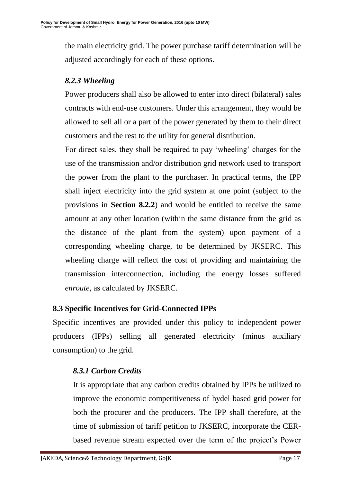the main electricity grid. The power purchase tariff determination will be adjusted accordingly for each of these options.

## *8.2.3 Wheeling*

Power producers shall also be allowed to enter into direct (bilateral) sales contracts with end-use customers. Under this arrangement, they would be allowed to sell all or a part of the power generated by them to their direct customers and the rest to the utility for general distribution.

For direct sales, they shall be required to pay 'wheeling' charges for the use of the transmission and/or distribution grid network used to transport the power from the plant to the purchaser. In practical terms, the IPP shall inject electricity into the grid system at one point (subject to the provisions in **Section 8.2.2**) and would be entitled to receive the same amount at any other location (within the same distance from the grid as the distance of the plant from the system) upon payment of a corresponding wheeling charge, to be determined by JKSERC. This wheeling charge will reflect the cost of providing and maintaining the transmission interconnection, including the energy losses suffered *enroute*, as calculated by JKSERC.

## **8.3 Specific Incentives for Grid-Connected IPPs**

Specific incentives are provided under this policy to independent power producers (IPPs) selling all generated electricity (minus auxiliary consumption) to the grid.

## *8.3.1 Carbon Credits*

It is appropriate that any carbon credits obtained by IPPs be utilized to improve the economic competitiveness of hydel based grid power for both the procurer and the producers. The IPP shall therefore, at the time of submission of tariff petition to JKSERC, incorporate the CERbased revenue stream expected over the term of the project's Power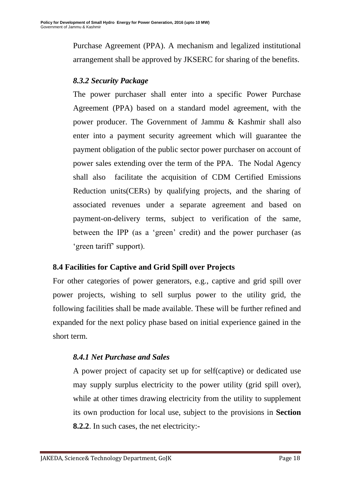Purchase Agreement (PPA). A mechanism and legalized institutional arrangement shall be approved by JKSERC for sharing of the benefits.

## *8.3.2 Security Package*

The power purchaser shall enter into a specific Power Purchase Agreement (PPA) based on a standard model agreement, with the power producer. The Government of Jammu & Kashmir shall also enter into a payment security agreement which will guarantee the payment obligation of the public sector power purchaser on account of power sales extending over the term of the PPA. The Nodal Agency shall also facilitate the acquisition of CDM Certified Emissions Reduction units(CERs) by qualifying projects, and the sharing of associated revenues under a separate agreement and based on payment-on-delivery terms, subject to verification of the same, between the IPP (as a 'green' credit) and the power purchaser (as ‗green tariff' support).

## **8.4 Facilities for Captive and Grid Spill over Projects**

For other categories of power generators, e.g., captive and grid spill over power projects, wishing to sell surplus power to the utility grid, the following facilities shall be made available. These will be further refined and expanded for the next policy phase based on initial experience gained in the short term.

## *8.4.1 Net Purchase and Sales*

A power project of capacity set up for self(captive) or dedicated use may supply surplus electricity to the power utility (grid spill over), while at other times drawing electricity from the utility to supplement its own production for local use, subject to the provisions in **Section 8.2.2**. In such cases, the net electricity:-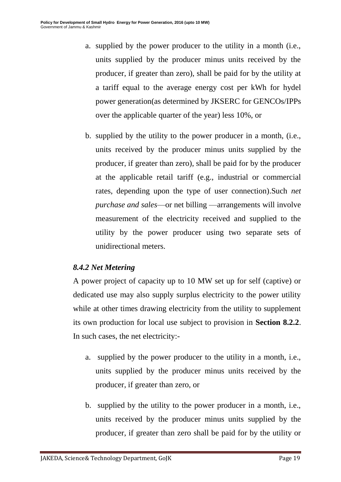- a. supplied by the power producer to the utility in a month (i.e., units supplied by the producer minus units received by the producer, if greater than zero), shall be paid for by the utility at a tariff equal to the average energy cost per kWh for hydel power generation(as determined by JKSERC for GENCOs/IPPs over the applicable quarter of the year) less 10%, or
- b. supplied by the utility to the power producer in a month, (i.e., units received by the producer minus units supplied by the producer, if greater than zero), shall be paid for by the producer at the applicable retail tariff (e.g., industrial or commercial rates, depending upon the type of user connection).Such *net purchase and sales*—or net billing —arrangements will involve measurement of the electricity received and supplied to the utility by the power producer using two separate sets of unidirectional meters.

## *8.4.2 Net Metering*

A power project of capacity up to 10 MW set up for self (captive) or dedicated use may also supply surplus electricity to the power utility while at other times drawing electricity from the utility to supplement its own production for local use subject to provision in **Section 8.2.2**. In such cases, the net electricity:-

- a. supplied by the power producer to the utility in a month, i.e., units supplied by the producer minus units received by the producer, if greater than zero, or
- b. supplied by the utility to the power producer in a month, i.e., units received by the producer minus units supplied by the producer, if greater than zero shall be paid for by the utility or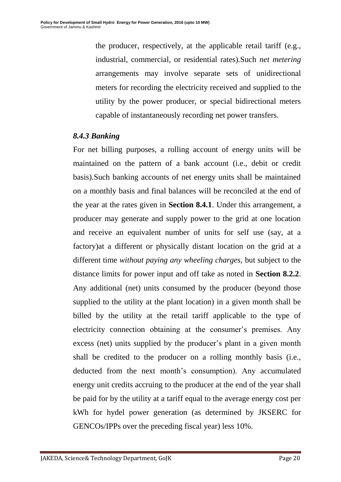the producer, respectively, at the applicable retail tariff (e.g., industrial, commercial, or residential rates).Such *net metering*  arrangements may involve separate sets of unidirectional meters for recording the electricity received and supplied to the utility by the power producer, or special bidirectional meters capable of instantaneously recording net power transfers.

#### *8.4.3 Banking*

For net billing purposes, a rolling account of energy units will be maintained on the pattern of a bank account (i.e., debit or credit basis).Such banking accounts of net energy units shall be maintained on a monthly basis and final balances will be reconciled at the end of the year at the rates given in **Section 8.4.1**. Under this arrangement, a producer may generate and supply power to the grid at one location and receive an equivalent number of units for self use (say, at a factory)at a different or physically distant location on the grid at a different time *without paying any wheeling charges,* but subject to the distance limits for power input and off take as noted in **Section 8.2.2**. Any additional (net) units consumed by the producer (beyond those supplied to the utility at the plant location) in a given month shall be billed by the utility at the retail tariff applicable to the type of electricity connection obtaining at the consumer's premises. Any excess (net) units supplied by the producer's plant in a given month shall be credited to the producer on a rolling monthly basis (i.e., deducted from the next month's consumption). Any accumulated energy unit credits accruing to the producer at the end of the year shall be paid for by the utility at a tariff equal to the average energy cost per kWh for hydel power generation (as determined by JKSERC for GENCOs/IPPs over the preceding fiscal year) less 10%.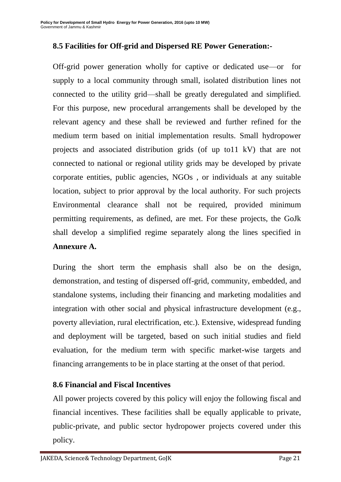### **8.5 Facilities for Off-grid and Dispersed RE Power Generation:-**

Off-grid power generation wholly for captive or dedicated use—or for supply to a local community through small, isolated distribution lines not connected to the utility grid—shall be greatly deregulated and simplified. For this purpose, new procedural arrangements shall be developed by the relevant agency and these shall be reviewed and further refined for the medium term based on initial implementation results. Small hydropower projects and associated distribution grids (of up to11 kV) that are not connected to national or regional utility grids may be developed by private corporate entities, public agencies, NGOs , or individuals at any suitable location, subject to prior approval by the local authority. For such projects Environmental clearance shall not be required, provided minimum permitting requirements, as defined, are met. For these projects, the GoJk shall develop a simplified regime separately along the lines specified in **Annexure A.**

During the short term the emphasis shall also be on the design, demonstration, and testing of dispersed off-grid, community, embedded, and standalone systems, including their financing and marketing modalities and integration with other social and physical infrastructure development (e.g., poverty alleviation, rural electrification, etc.). Extensive, widespread funding and deployment will be targeted, based on such initial studies and field evaluation, for the medium term with specific market-wise targets and financing arrangements to be in place starting at the onset of that period.

#### **8.6 Financial and Fiscal Incentives**

All power projects covered by this policy will enjoy the following fiscal and financial incentives. These facilities shall be equally applicable to private, public-private, and public sector hydropower projects covered under this policy.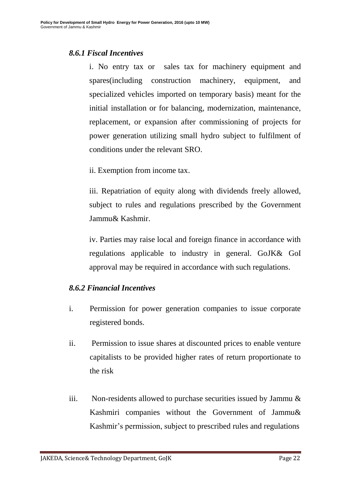#### *8.6.1 Fiscal Incentives*

i. No entry tax or sales tax for machinery equipment and spares(including construction machinery, equipment, and specialized vehicles imported on temporary basis) meant for the initial installation or for balancing, modernization, maintenance, replacement, or expansion after commissioning of projects for power generation utilizing small hydro subject to fulfilment of conditions under the relevant SRO.

ii. Exemption from income tax.

iii. Repatriation of equity along with dividends freely allowed, subject to rules and regulations prescribed by the Government Jammu& Kashmir.

iv. Parties may raise local and foreign finance in accordance with regulations applicable to industry in general. GoJK& GoI approval may be required in accordance with such regulations.

#### *8.6.2 Financial Incentives*

- i. Permission for power generation companies to issue corporate registered bonds.
- ii. Permission to issue shares at discounted prices to enable venture capitalists to be provided higher rates of return proportionate to the risk
- iii. Non-residents allowed to purchase securities issued by Jammu & Kashmiri companies without the Government of Jammu& Kashmir's permission, subject to prescribed rules and regulations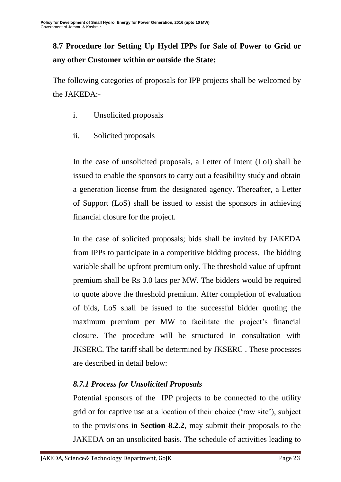## **8.7 Procedure for Setting Up Hydel IPPs for Sale of Power to Grid or any other Customer within or outside the State;**

The following categories of proposals for IPP projects shall be welcomed by the JAKEDA:-

- i. Unsolicited proposals
- ii. Solicited proposals

In the case of unsolicited proposals, a Letter of Intent (LoI) shall be issued to enable the sponsors to carry out a feasibility study and obtain a generation license from the designated agency. Thereafter, a Letter of Support (LoS) shall be issued to assist the sponsors in achieving financial closure for the project.

In the case of solicited proposals; bids shall be invited by JAKEDA from IPPs to participate in a competitive bidding process. The bidding variable shall be upfront premium only. The threshold value of upfront premium shall be Rs 3.0 lacs per MW. The bidders would be required to quote above the threshold premium. After completion of evaluation of bids, LoS shall be issued to the successful bidder quoting the maximum premium per MW to facilitate the project's financial closure. The procedure will be structured in consultation with JKSERC. The tariff shall be determined by JKSERC . These processes are described in detail below:

## *8.7.1 Process for Unsolicited Proposals*

Potential sponsors of the IPP projects to be connected to the utility grid or for captive use at a location of their choice ('raw site'), subject to the provisions in **Section 8.2.2**, may submit their proposals to the JAKEDA on an unsolicited basis. The schedule of activities leading to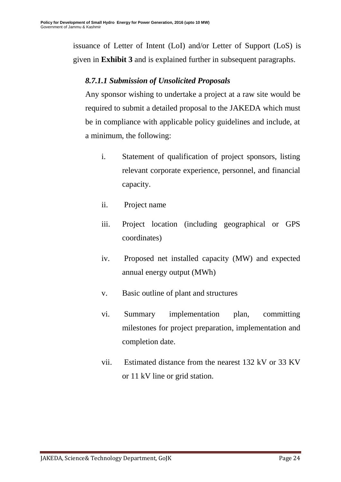issuance of Letter of Intent (LoI) and/or Letter of Support (LoS) is given in **Exhibit 3** and is explained further in subsequent paragraphs.

## *8.7.1.1 Submission of Unsolicited Proposals*

Any sponsor wishing to undertake a project at a raw site would be required to submit a detailed proposal to the JAKEDA which must be in compliance with applicable policy guidelines and include, at a minimum, the following:

- i. Statement of qualification of project sponsors, listing relevant corporate experience, personnel, and financial capacity.
- ii. Project name
- iii. Project location (including geographical or GPS coordinates)
- iv. Proposed net installed capacity (MW) and expected annual energy output (MWh)
- v. Basic outline of plant and structures
- vi. Summary implementation plan, committing milestones for project preparation, implementation and completion date.
- vii. Estimated distance from the nearest 132 kV or 33 KV or 11 kV line or grid station.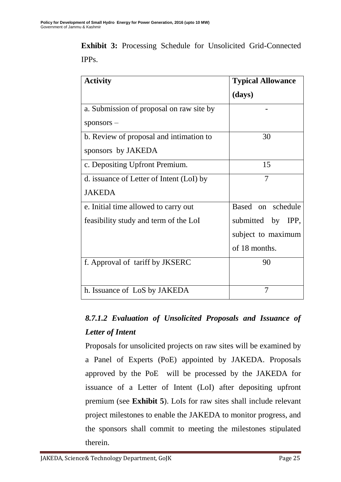**Exhibit 3:** Processing Schedule for Unsolicited Grid-Connected IPPs.

| <b>Activity</b>                          | <b>Typical Allowance</b> |
|------------------------------------------|--------------------------|
|                                          | (days)                   |
| a. Submission of proposal on raw site by |                          |
| $s$ ponsors $-$                          |                          |
| b. Review of proposal and intimation to  | 30                       |
| sponsors by JAKEDA                       |                          |
| c. Depositing Upfront Premium.           | 15                       |
| d. issuance of Letter of Intent (LoI) by | 7                        |
| <b>JAKEDA</b>                            |                          |
| e. Initial time allowed to carry out     | Based on schedule        |
| feasibility study and term of the LoI    | submitted by IPP,        |
|                                          | subject to maximum       |
|                                          | of 18 months.            |
| f. Approval of tariff by JKSERC          | 90                       |
|                                          |                          |
| h. Issuance of LoS by JAKEDA             | 7                        |

## *8.7.1.2 Evaluation of Unsolicited Proposals and Issuance of Letter of Intent*

Proposals for unsolicited projects on raw sites will be examined by a Panel of Experts (PoE) appointed by JAKEDA. Proposals approved by the PoE will be processed by the JAKEDA for issuance of a Letter of Intent (LoI) after depositing upfront premium (see **Exhibit 5**). LoIs for raw sites shall include relevant project milestones to enable the JAKEDA to monitor progress, and the sponsors shall commit to meeting the milestones stipulated therein.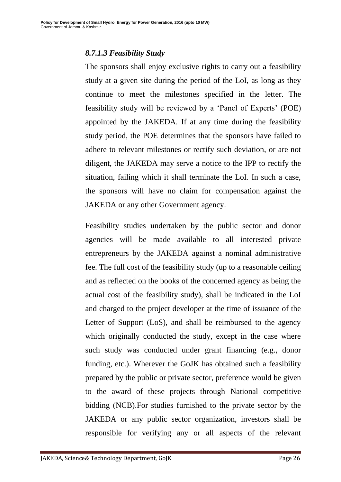## *8.7.1.3 Feasibility Study*

The sponsors shall enjoy exclusive rights to carry out a feasibility study at a given site during the period of the LoI, as long as they continue to meet the milestones specified in the letter. The feasibility study will be reviewed by a 'Panel of Experts' (POE) appointed by the JAKEDA. If at any time during the feasibility study period, the POE determines that the sponsors have failed to adhere to relevant milestones or rectify such deviation, or are not diligent, the JAKEDA may serve a notice to the IPP to rectify the situation, failing which it shall terminate the LoI. In such a case, the sponsors will have no claim for compensation against the JAKEDA or any other Government agency.

Feasibility studies undertaken by the public sector and donor agencies will be made available to all interested private entrepreneurs by the JAKEDA against a nominal administrative fee. The full cost of the feasibility study (up to a reasonable ceiling and as reflected on the books of the concerned agency as being the actual cost of the feasibility study), shall be indicated in the LoI and charged to the project developer at the time of issuance of the Letter of Support (LoS), and shall be reimbursed to the agency which originally conducted the study, except in the case where such study was conducted under grant financing (e.g., donor funding, etc.). Wherever the GoJK has obtained such a feasibility prepared by the public or private sector, preference would be given to the award of these projects through National competitive bidding (NCB).For studies furnished to the private sector by the JAKEDA or any public sector organization, investors shall be responsible for verifying any or all aspects of the relevant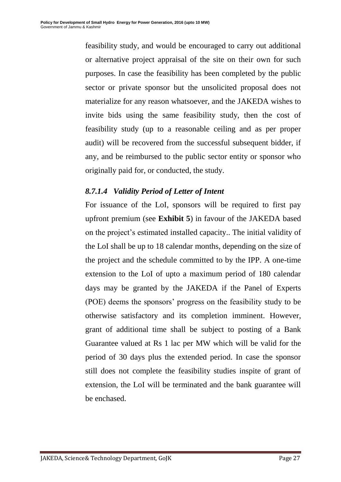feasibility study, and would be encouraged to carry out additional or alternative project appraisal of the site on their own for such purposes. In case the feasibility has been completed by the public sector or private sponsor but the unsolicited proposal does not materialize for any reason whatsoever, and the JAKEDA wishes to invite bids using the same feasibility study, then the cost of feasibility study (up to a reasonable ceiling and as per proper audit) will be recovered from the successful subsequent bidder, if any, and be reimbursed to the public sector entity or sponsor who originally paid for, or conducted, the study.

### *8.7.1.4 Validity Period of Letter of Intent*

For issuance of the LoI, sponsors will be required to first pay upfront premium (see **Exhibit 5**) in favour of the JAKEDA based on the project's estimated installed capacity.. The initial validity of the LoI shall be up to 18 calendar months, depending on the size of the project and the schedule committed to by the IPP. A one-time extension to the LoI of upto a maximum period of 180 calendar days may be granted by the JAKEDA if the Panel of Experts (POE) deems the sponsors' progress on the feasibility study to be otherwise satisfactory and its completion imminent. However, grant of additional time shall be subject to posting of a Bank Guarantee valued at Rs 1 lac per MW which will be valid for the period of 30 days plus the extended period. In case the sponsor still does not complete the feasibility studies inspite of grant of extension, the LoI will be terminated and the bank guarantee will be enchased.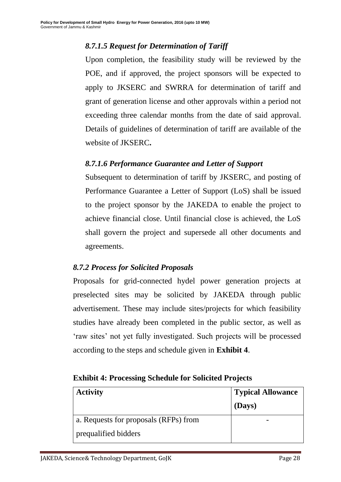## *8.7.1.5 Request for Determination of Tariff*

Upon completion, the feasibility study will be reviewed by the POE, and if approved, the project sponsors will be expected to apply to JKSERC and SWRRA for determination of tariff and grant of generation license and other approvals within a period not exceeding three calendar months from the date of said approval. Details of guidelines of determination of tariff are available of the website of JKSERC**.** 

### *8.7.1.6 Performance Guarantee and Letter of Support*

Subsequent to determination of tariff by JKSERC, and posting of Performance Guarantee a Letter of Support (LoS) shall be issued to the project sponsor by the JAKEDA to enable the project to achieve financial close. Until financial close is achieved, the LoS shall govern the project and supersede all other documents and agreements.

#### *8.7.2 Process for Solicited Proposals*

Proposals for grid-connected hydel power generation projects at preselected sites may be solicited by JAKEDA through public advertisement. These may include sites/projects for which feasibility studies have already been completed in the public sector, as well as ‗raw sites' not yet fully investigated. Such projects will be processed according to the steps and schedule given in **Exhibit 4**.

#### **Exhibit 4: Processing Schedule for Solicited Projects**

| <b>Activity</b>                       | Typical Allowance |
|---------------------------------------|-------------------|
|                                       | (Days)            |
| a. Requests for proposals (RFPs) from |                   |
| prequalified bidders                  |                   |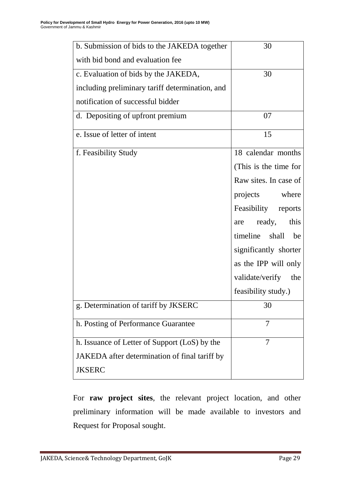| b. Submission of bids to the JAKEDA together    | 30                     |
|-------------------------------------------------|------------------------|
| with bid bond and evaluation fee                |                        |
| c. Evaluation of bids by the JAKEDA,            | 30                     |
| including preliminary tariff determination, and |                        |
| notification of successful bidder               |                        |
| d. Depositing of upfront premium                | 07                     |
| e. Issue of letter of intent                    | 15                     |
| f. Feasibility Study                            | 18 calendar months     |
|                                                 | (This is the time for  |
|                                                 | Raw sites. In case of  |
|                                                 | projects where         |
|                                                 | Feasibility reports    |
|                                                 | ready,<br>this<br>are  |
|                                                 | timeline shall<br>be   |
|                                                 | significantly shorter  |
|                                                 | as the IPP will only   |
|                                                 | validate/verify<br>the |
|                                                 | feasibility study.)    |
| g. Determination of tariff by JKSERC            | 30                     |
| h. Posting of Performance Guarantee             | 7                      |
| h. Issuance of Letter of Support (LoS) by the   | 7                      |
| JAKEDA after determination of final tariff by   |                        |
| <b>JKSERC</b>                                   |                        |

For **raw project sites**, the relevant project location, and other preliminary information will be made available to investors and Request for Proposal sought.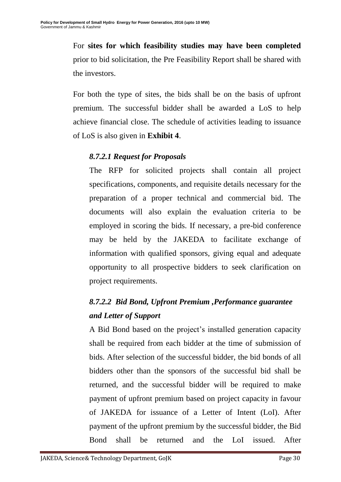For **sites for which feasibility studies may have been completed** prior to bid solicitation, the Pre Feasibility Report shall be shared with the investors.

For both the type of sites, the bids shall be on the basis of upfront premium. The successful bidder shall be awarded a LoS to help achieve financial close. The schedule of activities leading to issuance of LoS is also given in **Exhibit 4**.

### *8.7.2.1 Request for Proposals*

The RFP for solicited projects shall contain all project specifications, components, and requisite details necessary for the preparation of a proper technical and commercial bid. The documents will also explain the evaluation criteria to be employed in scoring the bids. If necessary, a pre-bid conference may be held by the JAKEDA to facilitate exchange of information with qualified sponsors, giving equal and adequate opportunity to all prospective bidders to seek clarification on project requirements.

## *8.7.2.2 Bid Bond, Upfront Premium ,Performance guarantee and Letter of Support*

A Bid Bond based on the project's installed generation capacity shall be required from each bidder at the time of submission of bids. After selection of the successful bidder, the bid bonds of all bidders other than the sponsors of the successful bid shall be returned, and the successful bidder will be required to make payment of upfront premium based on project capacity in favour of JAKEDA for issuance of a Letter of Intent (LoI). After payment of the upfront premium by the successful bidder, the Bid Bond shall be returned and the LoI issued. After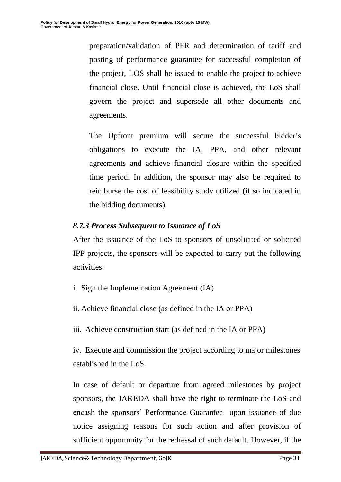preparation/validation of PFR and determination of tariff and posting of performance guarantee for successful completion of the project, LOS shall be issued to enable the project to achieve financial close. Until financial close is achieved, the LoS shall govern the project and supersede all other documents and agreements.

The Upfront premium will secure the successful bidder's obligations to execute the IA, PPA, and other relevant agreements and achieve financial closure within the specified time period. In addition, the sponsor may also be required to reimburse the cost of feasibility study utilized (if so indicated in the bidding documents).

### *8.7.3 Process Subsequent to Issuance of LoS*

After the issuance of the LoS to sponsors of unsolicited or solicited IPP projects, the sponsors will be expected to carry out the following activities:

- i. Sign the Implementation Agreement (IA)
- ii. Achieve financial close (as defined in the IA or PPA)
- iii. Achieve construction start (as defined in the IA or PPA)

iv. Execute and commission the project according to major milestones established in the LoS.

In case of default or departure from agreed milestones by project sponsors, the JAKEDA shall have the right to terminate the LoS and encash the sponsors' Performance Guarantee upon issuance of due notice assigning reasons for such action and after provision of sufficient opportunity for the redressal of such default. However, if the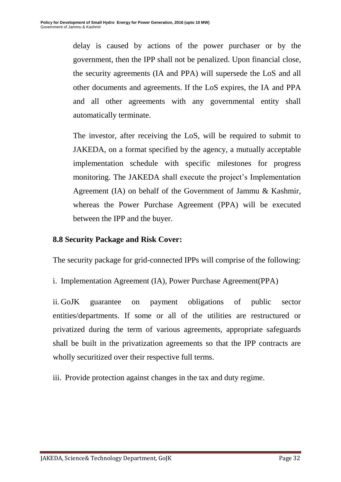delay is caused by actions of the power purchaser or by the government, then the IPP shall not be penalized. Upon financial close, the security agreements (IA and PPA) will supersede the LoS and all other documents and agreements. If the LoS expires, the IA and PPA and all other agreements with any governmental entity shall automatically terminate.

The investor, after receiving the LoS, will be required to submit to JAKEDA, on a format specified by the agency, a mutually acceptable implementation schedule with specific milestones for progress monitoring. The JAKEDA shall execute the project's Implementation Agreement (IA) on behalf of the Government of Jammu & Kashmir, whereas the Power Purchase Agreement (PPA) will be executed between the IPP and the buyer.

#### **8.8 Security Package and Risk Cover:**

The security package for grid-connected IPPs will comprise of the following:

i. Implementation Agreement (IA), Power Purchase Agreement(PPA)

ii. GoJK guarantee on payment obligations of public sector entities/departments. If some or all of the utilities are restructured or privatized during the term of various agreements, appropriate safeguards shall be built in the privatization agreements so that the IPP contracts are wholly securitized over their respective full terms.

iii. Provide protection against changes in the tax and duty regime.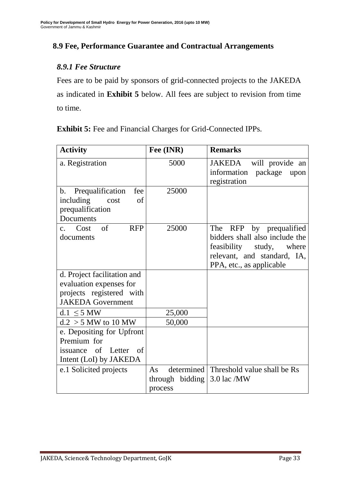### **8.9 Fee, Performance Guarantee and Contractual Arrangements**

#### *8.9.1 Fee Structure*

Fees are to be paid by sponsors of grid-connected projects to the JAKEDA as indicated in **Exhibit 5** below. All fees are subject to revision from time to time.

**Exhibit 5:** Fee and Financial Charges for Grid-Connected IPPs.

| <b>Activity</b>                                                                                                                                                      | Fee (INR)                  | <b>Remarks</b>                                                                                                                                      |
|----------------------------------------------------------------------------------------------------------------------------------------------------------------------|----------------------------|-----------------------------------------------------------------------------------------------------------------------------------------------------|
| a. Registration                                                                                                                                                      | 5000                       | will provide an<br>JAKEDA<br>information package<br>upon<br>registration                                                                            |
| Prequalification<br>fee<br>$\mathbf{b}$ .<br>including<br>of<br>cost<br>prequalification<br>Documents                                                                | 25000                      |                                                                                                                                                     |
| $\sigma$ f<br><b>RFP</b><br>Cost<br>$\mathbf{c}$ .<br>documents                                                                                                      | 25000                      | The RFP by prequalified<br>bidders shall also include the<br>feasibility study,<br>where<br>relevant, and standard, IA,<br>PPA, etc., as applicable |
| d. Project facilitation and<br>evaluation expenses for<br>projects registered with<br><b>JAKEDA</b> Government                                                       |                            |                                                                                                                                                     |
| $d.1 < 5$ MW                                                                                                                                                         | 25,000                     |                                                                                                                                                     |
| $d.2 > 5$ MW to 10 MW<br>e. Depositing for Upfront<br>Premium for<br><sub>of</sub><br>Letter<br>- of<br>issuance<br>Intent (LoI) by JAKEDA<br>e.1 Solicited projects | 50,000<br>As               | determined   Threshold value shall be Rs                                                                                                            |
|                                                                                                                                                                      | through bidding<br>process | $3.0$ lac /MW                                                                                                                                       |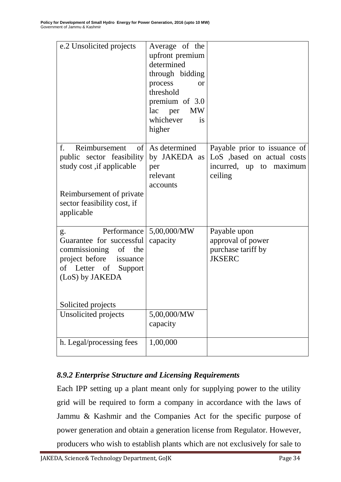| e.2 Unsolicited projects                                                                                                                                                  | Average of the<br>upfront premium<br>determined<br>through bidding<br>process<br><b>or</b><br>threshold<br>premium of 3.0<br>lac per<br><b>MW</b><br>whichever<br>is<br>higher |                                                                                                   |
|---------------------------------------------------------------------------------------------------------------------------------------------------------------------------|--------------------------------------------------------------------------------------------------------------------------------------------------------------------------------|---------------------------------------------------------------------------------------------------|
| f.<br>Reimbursement<br>of <sub>1</sub><br>public sector feasibility<br>study cost, if applicable<br>Reimbursement of private<br>sector feasibility cost, if<br>applicable | As determined<br>by JAKEDA as<br>per<br>relevant<br>accounts                                                                                                                   | Payable prior to issuance of<br>LoS , based on actual costs<br>incurred, up to maximum<br>ceiling |
| g.<br>Guarantee for successful<br>commissioning of the<br>project before issuance<br>of Letter of Support<br>(LoS) by JAKEDA<br>Solicited projects                        | Performance $\vert 5,00,000/MW \vert$<br>capacity                                                                                                                              | Payable upon<br>approval of power<br>purchase tariff by<br><b>JKSERC</b>                          |
| Unsolicited projects                                                                                                                                                      | 5,00,000/MW<br>capacity                                                                                                                                                        |                                                                                                   |
| h. Legal/processing fees                                                                                                                                                  | 1,00,000                                                                                                                                                                       |                                                                                                   |

## *8.9.2 Enterprise Structure and Licensing Requirements*

Each IPP setting up a plant meant only for supplying power to the utility grid will be required to form a company in accordance with the laws of Jammu & Kashmir and the Companies Act for the specific purpose of power generation and obtain a generation license from Regulator. However, producers who wish to establish plants which are not exclusively for sale to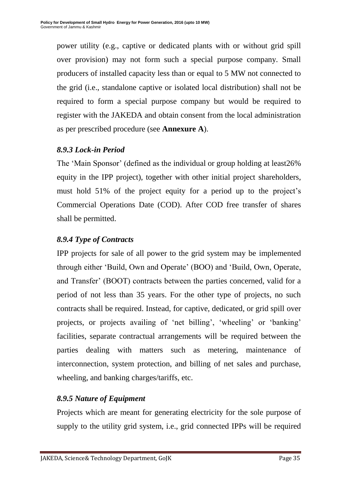power utility (e.g., captive or dedicated plants with or without grid spill over provision) may not form such a special purpose company. Small producers of installed capacity less than or equal to 5 MW not connected to the grid (i.e., standalone captive or isolated local distribution) shall not be required to form a special purpose company but would be required to register with the JAKEDA and obtain consent from the local administration as per prescribed procedure (see **Annexure A**).

## *8.9.3 Lock-in Period*

The 'Main Sponsor' (defined as the individual or group holding at least 26% equity in the IPP project), together with other initial project shareholders, must hold 51% of the project equity for a period up to the project's Commercial Operations Date (COD). After COD free transfer of shares shall be permitted.

## *8.9.4 Type of Contracts*

IPP projects for sale of all power to the grid system may be implemented through either ‗Build, Own and Operate' (BOO) and ‗Build, Own, Operate, and Transfer' (BOOT) contracts between the parties concerned, valid for a period of not less than 35 years. For the other type of projects, no such contracts shall be required. Instead, for captive, dedicated, or grid spill over projects, or projects availing of 'net billing', 'wheeling' or 'banking' facilities, separate contractual arrangements will be required between the parties dealing with matters such as metering, maintenance of interconnection, system protection, and billing of net sales and purchase, wheeling, and banking charges/tariffs, etc.

## *8.9.5 Nature of Equipment*

Projects which are meant for generating electricity for the sole purpose of supply to the utility grid system, i.e., grid connected IPPs will be required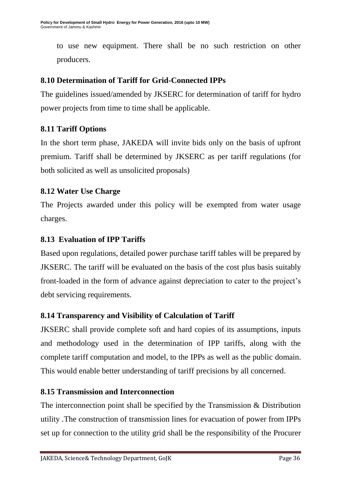to use new equipment. There shall be no such restriction on other producers.

## **8.10 Determination of Tariff for Grid-Connected IPPs**

The guidelines issued/amended by JKSERC for determination of tariff for hydro power projects from time to time shall be applicable.

#### **8.11 Tariff Options**

In the short term phase, JAKEDA will invite bids only on the basis of upfront premium. Tariff shall be determined by JKSERC as per tariff regulations (for both solicited as well as unsolicited proposals)

#### **8.12 Water Use Charge**

The Projects awarded under this policy will be exempted from water usage charges.

#### **8.13 Evaluation of IPP Tariffs**

Based upon regulations, detailed power purchase tariff tables will be prepared by JKSERC. The tariff will be evaluated on the basis of the cost plus basis suitably front-loaded in the form of advance against depreciation to cater to the project's debt servicing requirements.

## **8.14 Transparency and Visibility of Calculation of Tariff**

JKSERC shall provide complete soft and hard copies of its assumptions, inputs and methodology used in the determination of IPP tariffs, along with the complete tariff computation and model, to the IPPs as well as the public domain. This would enable better understanding of tariff precisions by all concerned.

#### **8.15 Transmission and Interconnection**

The interconnection point shall be specified by the Transmission & Distribution utility .The construction of transmission lines for evacuation of power from IPPs set up for connection to the utility grid shall be the responsibility of the Procurer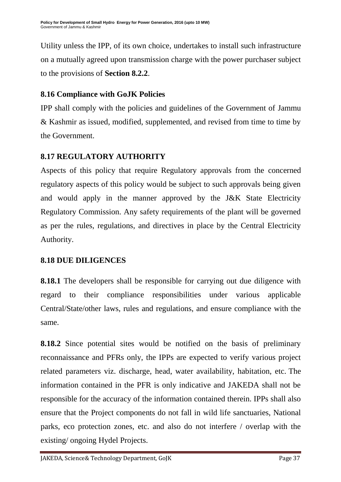Utility unless the IPP, of its own choice, undertakes to install such infrastructure on a mutually agreed upon transmission charge with the power purchaser subject to the provisions of **Section 8.2.2**.

## **8.16 Compliance with GoJK Policies**

IPP shall comply with the policies and guidelines of the Government of Jammu & Kashmir as issued, modified, supplemented, and revised from time to time by the Government.

## **8.17 REGULATORY AUTHORITY**

Aspects of this policy that require Regulatory approvals from the concerned regulatory aspects of this policy would be subject to such approvals being given and would apply in the manner approved by the J&K State Electricity Regulatory Commission. Any safety requirements of the plant will be governed as per the rules, regulations, and directives in place by the Central Electricity Authority.

## **8.18 DUE DILIGENCES**

**8.18.1** The developers shall be responsible for carrying out due diligence with regard to their compliance responsibilities under various applicable Central/State/other laws, rules and regulations, and ensure compliance with the same.

**8.18.2** Since potential sites would be notified on the basis of preliminary reconnaissance and PFRs only, the IPPs are expected to verify various project related parameters viz. discharge, head, water availability, habitation, etc. The information contained in the PFR is only indicative and JAKEDA shall not be responsible for the accuracy of the information contained therein. IPPs shall also ensure that the Project components do not fall in wild life sanctuaries, National parks, eco protection zones, etc. and also do not interfere / overlap with the existing/ ongoing Hydel Projects.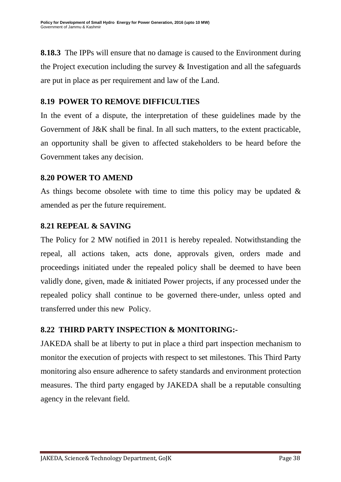**8.18.3** The IPPs will ensure that no damage is caused to the Environment during the Project execution including the survey & Investigation and all the safeguards are put in place as per requirement and law of the Land.

## **8.19 POWER TO REMOVE DIFFICULTIES**

In the event of a dispute, the interpretation of these guidelines made by the Government of J&K shall be final. In all such matters, to the extent practicable, an opportunity shall be given to affected stakeholders to be heard before the Government takes any decision.

### **8.20 POWER TO AMEND**

As things become obsolete with time to time this policy may be updated & amended as per the future requirement.

## **8.21 REPEAL & SAVING**

The Policy for 2 MW notified in 2011 is hereby repealed. Notwithstanding the repeal, all actions taken, acts done, approvals given, orders made and proceedings initiated under the repealed policy shall be deemed to have been validly done, given, made & initiated Power projects, if any processed under the repealed policy shall continue to be governed there-under, unless opted and transferred under this new Policy.

## **8.22 THIRD PARTY INSPECTION & MONITORING:-**

JAKEDA shall be at liberty to put in place a third part inspection mechanism to monitor the execution of projects with respect to set milestones. This Third Party monitoring also ensure adherence to safety standards and environment protection measures. The third party engaged by JAKEDA shall be a reputable consulting agency in the relevant field.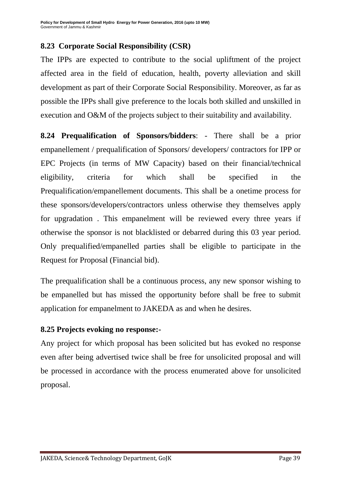## **8.23 Corporate Social Responsibility (CSR)**

The IPPs are expected to contribute to the social upliftment of the project affected area in the field of education, health, poverty alleviation and skill development as part of their Corporate Social Responsibility. Moreover, as far as possible the IPPs shall give preference to the locals both skilled and unskilled in execution and O&M of the projects subject to their suitability and availability.

**8.24 Prequalification of Sponsors/bidders**: - There shall be a prior empanellement / prequalification of Sponsors/ developers/ contractors for IPP or EPC Projects (in terms of MW Capacity) based on their financial/technical eligibility, criteria for which shall be specified in the Prequalification/empanellement documents. This shall be a onetime process for these sponsors/developers/contractors unless otherwise they themselves apply for upgradation . This empanelment will be reviewed every three years if otherwise the sponsor is not blacklisted or debarred during this 03 year period. Only prequalified/empanelled parties shall be eligible to participate in the Request for Proposal (Financial bid).

The prequalification shall be a continuous process, any new sponsor wishing to be empanelled but has missed the opportunity before shall be free to submit application for empanelment to JAKEDA as and when he desires.

#### **8.25 Projects evoking no response:-**

Any project for which proposal has been solicited but has evoked no response even after being advertised twice shall be free for unsolicited proposal and will be processed in accordance with the process enumerated above for unsolicited proposal.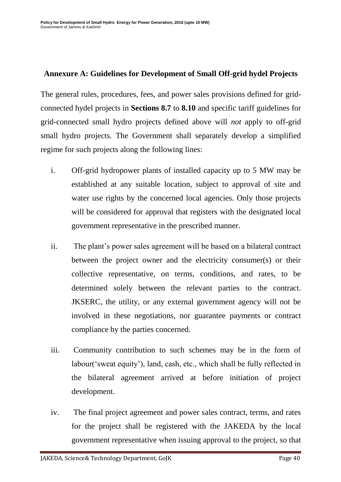#### **Annexure A: Guidelines for Development of Small Off-grid hydel Projects**

The general rules, procedures, fees, and power sales provisions defined for gridconnected hydel projects in **Sections 8.7** to **8.10** and specific tariff guidelines for grid-connected small hydro projects defined above will *not* apply to off-grid small hydro projects. The Government shall separately develop a simplified regime for such projects along the following lines:

- i. Off-grid hydropower plants of installed capacity up to 5 MW may be established at any suitable location, subject to approval of site and water use rights by the concerned local agencies. Only those projects will be considered for approval that registers with the designated local government representative in the prescribed manner.
- ii. The plant's power sales agreement will be based on a bilateral contract between the project owner and the electricity consumer(s) or their collective representative, on terms, conditions, and rates, to be determined solely between the relevant parties to the contract. JKSERC, the utility, or any external government agency will not be involved in these negotiations, nor guarantee payments or contract compliance by the parties concerned.
- iii. Community contribution to such schemes may be in the form of labour('sweat equity'), land, cash, etc., which shall be fully reflected in the bilateral agreement arrived at before initiation of project development.
- iv. The final project agreement and power sales contract, terms, and rates for the project shall be registered with the JAKEDA by the local government representative when issuing approval to the project, so that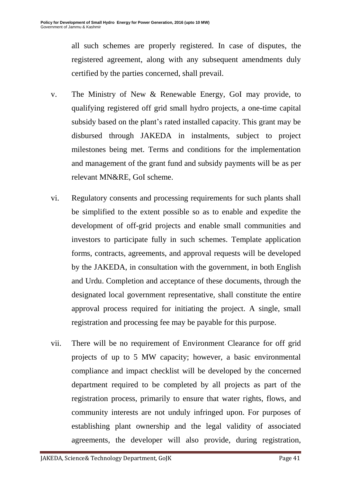all such schemes are properly registered. In case of disputes, the registered agreement, along with any subsequent amendments duly certified by the parties concerned, shall prevail.

- v. The Ministry of New & Renewable Energy, GoI may provide, to qualifying registered off grid small hydro projects, a one-time capital subsidy based on the plant's rated installed capacity. This grant may be disbursed through JAKEDA in instalments, subject to project milestones being met. Terms and conditions for the implementation and management of the grant fund and subsidy payments will be as per relevant MN&RE, GoI scheme.
- vi. Regulatory consents and processing requirements for such plants shall be simplified to the extent possible so as to enable and expedite the development of off-grid projects and enable small communities and investors to participate fully in such schemes. Template application forms, contracts, agreements, and approval requests will be developed by the JAKEDA, in consultation with the government, in both English and Urdu. Completion and acceptance of these documents, through the designated local government representative, shall constitute the entire approval process required for initiating the project. A single, small registration and processing fee may be payable for this purpose.
- vii. There will be no requirement of Environment Clearance for off grid projects of up to 5 MW capacity; however, a basic environmental compliance and impact checklist will be developed by the concerned department required to be completed by all projects as part of the registration process, primarily to ensure that water rights, flows, and community interests are not unduly infringed upon. For purposes of establishing plant ownership and the legal validity of associated agreements, the developer will also provide, during registration,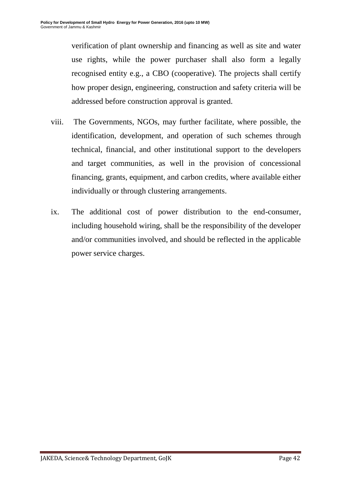verification of plant ownership and financing as well as site and water use rights, while the power purchaser shall also form a legally recognised entity e.g., a CBO (cooperative). The projects shall certify how proper design, engineering, construction and safety criteria will be addressed before construction approval is granted.

- viii. The Governments, NGOs, may further facilitate, where possible, the identification, development, and operation of such schemes through technical, financial, and other institutional support to the developers and target communities, as well in the provision of concessional financing, grants, equipment, and carbon credits, where available either individually or through clustering arrangements.
- ix. The additional cost of power distribution to the end-consumer, including household wiring, shall be the responsibility of the developer and/or communities involved, and should be reflected in the applicable power service charges.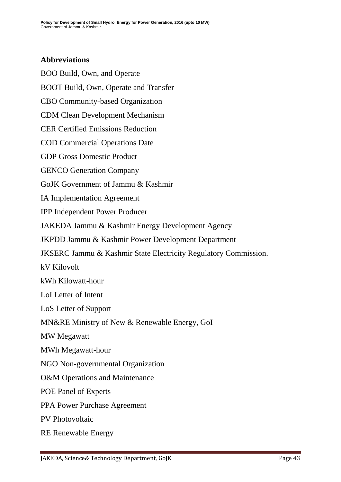#### **Abbreviations**

BOO Build, Own, and Operate BOOT Build, Own, Operate and Transfer CBO Community-based Organization CDM Clean Development Mechanism CER Certified Emissions Reduction COD Commercial Operations Date GDP Gross Domestic Product GENCO Generation Company GoJK Government of Jammu & Kashmir IA Implementation Agreement IPP Independent Power Producer JAKEDA Jammu & Kashmir Energy Development Agency JKPDD Jammu & Kashmir Power Development Department JKSERC Jammu & Kashmir State Electricity Regulatory Commission. kV Kilovolt kWh Kilowatt-hour LoI Letter of Intent LoS Letter of Support MN&RE Ministry of New & Renewable Energy, GoI MW Megawatt MWh Megawatt-hour NGO Non-governmental Organization O&M Operations and Maintenance POE Panel of Experts

PPA Power Purchase Agreement

PV Photovoltaic

RE Renewable Energy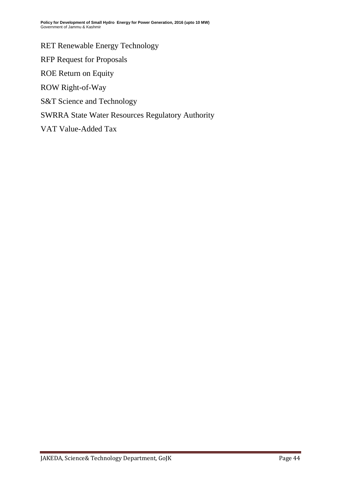RET Renewable Energy Technology RFP Request for Proposals ROE Return on Equity ROW Right-of-Way S&T Science and Technology SWRRA State Water Resources Regulatory Authority VAT Value-Added Tax